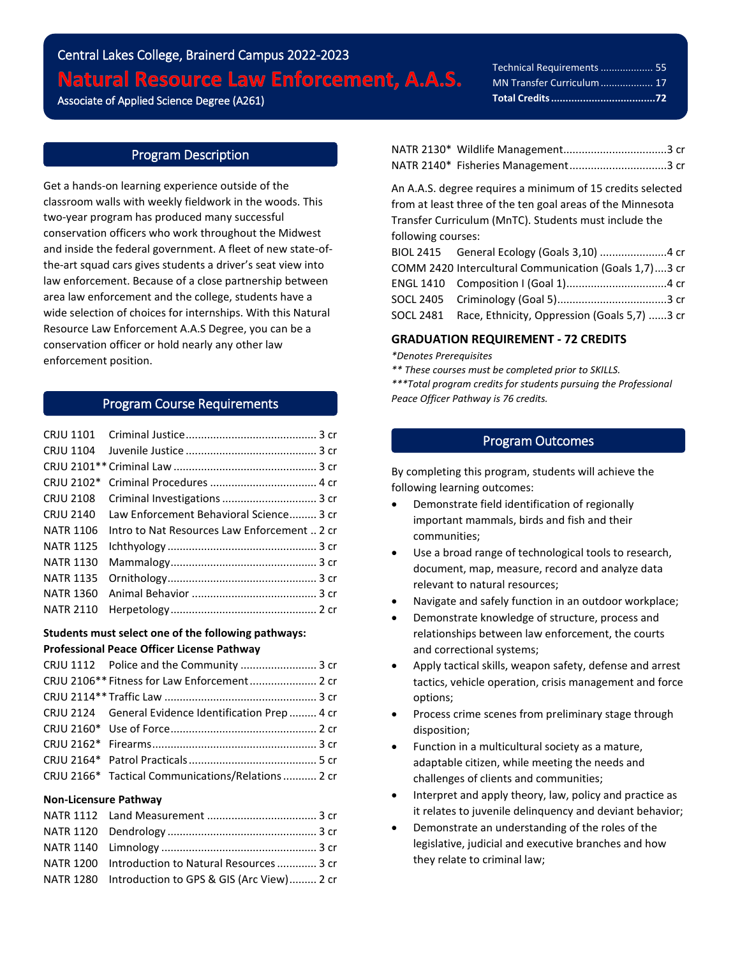# Central Lakes College, Brainerd Campus 2022-2023 **Natural Resource Law Enforcement, A.A.S.** Associate of Applied Science Degree (A261)

Technical Requirements................... 55 MN Transfer Curriculum................... 17 **Total Credits....................................72**

i<br>L

# Program Description

Get a hands-on learning experience outside of the classroom walls with weekly fieldwork in the woods. This two-year program has produced many successful conservation officers who work throughout the Midwest and inside the federal government. A fleet of new state-ofthe-art squad cars gives students a driver's seat view into law enforcement. Because of a close partnership between area law enforcement and the college, students have a wide selection of choices for internships. With this Natural Resource Law Enforcement A.A.S Degree, you can be a conservation officer or hold nearly any other law enforcement position.

# Program Course Requirements

| CRJU 1101        |                                              |  |
|------------------|----------------------------------------------|--|
|                  |                                              |  |
|                  |                                              |  |
|                  |                                              |  |
| CRJU 2108        |                                              |  |
| <b>CRJU 2140</b> | Law Enforcement Behavioral Science 3 cr      |  |
| <b>NATR 1106</b> | Intro to Nat Resources Law Enforcement  2 cr |  |
| <b>NATR 1125</b> |                                              |  |
| <b>NATR 1130</b> |                                              |  |
| NATR 1135        |                                              |  |
| <b>NATR 1360</b> |                                              |  |
| NATR 2110        |                                              |  |

#### **Students must select one of the following pathways: Professional Peace Officer License Pathway**

|  | CRJU 1112 Police and the Community  3 cr             |  |
|--|------------------------------------------------------|--|
|  |                                                      |  |
|  |                                                      |  |
|  | CRJU 2124 General Evidence Identification Prep  4 cr |  |
|  |                                                      |  |
|  |                                                      |  |
|  |                                                      |  |
|  | CRJU 2166* Tactical Communications/Relations 2 cr    |  |

#### **Non-Licensure Pathway**

| NATR 1200 Introduction to Natural Resources 3 cr    |  |
|-----------------------------------------------------|--|
| NATR 1280 Introduction to GPS & GIS (Arc View) 2 cr |  |

֦֘

An A.A.S. degree requires a minimum of 15 credits selected from at least three of the ten goal areas of the Minnesota Transfer Curriculum (MnTC). Students must include the following courses:

| COMM 2420 Intercultural Communication (Goals 1,7)3 cr  |  |
|--------------------------------------------------------|--|
|                                                        |  |
|                                                        |  |
| SOCL 2481 Race, Ethnicity, Oppression (Goals 5,7) 3 cr |  |

#### **GRADUATION REQUIREMENT - 72 CREDITS**

*\*Denotes Prerequisites*

*\*\* These courses must be completed prior to SKILLS.*

*\*\*\*Total program credits for students pursuing the Professional Peace Officer Pathway is 76 credits.*

# Program Outcomes

By completing this program, students will achieve the following learning outcomes:

- Demonstrate field identification of regionally important mammals, birds and fish and their communities;
- Use a broad range of technological tools to research, document, map, measure, record and analyze data relevant to natural resources;
- Navigate and safely function in an outdoor workplace;
- Demonstrate knowledge of structure, process and relationships between law enforcement, the courts and correctional systems;
- Apply tactical skills, weapon safety, defense and arrest tactics, vehicle operation, crisis management and force options;
- Process crime scenes from preliminary stage through disposition;
- Function in a multicultural society as a mature, adaptable citizen, while meeting the needs and challenges of clients and communities;
- Interpret and apply theory, law, policy and practice as it relates to juvenile delinquency and deviant behavior;
- Demonstrate an understanding of the roles of the legislative, judicial and executive branches and how they relate to criminal law;